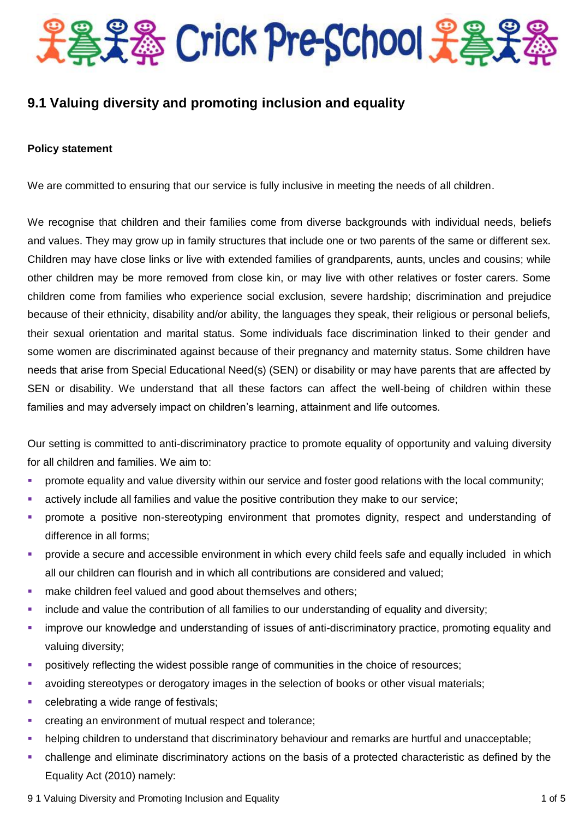

# **9.1 Valuing diversity and promoting inclusion and equality**

## **Policy statement**

We are committed to ensuring that our service is fully inclusive in meeting the needs of all children.

We recognise that children and their families come from diverse backgrounds with individual needs, beliefs and values. They may grow up in family structures that include one or two parents of the same or different sex. Children may have close links or live with extended families of grandparents, aunts, uncles and cousins; while other children may be more removed from close kin, or may live with other relatives or foster carers. Some children come from families who experience social exclusion, severe hardship; discrimination and prejudice because of their ethnicity, disability and/or ability, the languages they speak, their religious or personal beliefs, their sexual orientation and marital status. Some individuals face discrimination linked to their gender and some women are discriminated against because of their pregnancy and maternity status. Some children have needs that arise from Special Educational Need(s) (SEN) or disability or may have parents that are affected by SEN or disability. We understand that all these factors can affect the well-being of children within these families and may adversely impact on children's learning, attainment and life outcomes.

Our setting is committed to anti-discriminatory practice to promote equality of opportunity and valuing diversity for all children and families. We aim to:

- **•** promote equality and value diversity within our service and foster good relations with the local community;
- actively include all families and value the positive contribution they make to our service;
- **•** promote a positive non-stereotyping environment that promotes dignity, respect and understanding of difference in all forms;
- **•** provide a secure and accessible environment in which every child feels safe and equally included in which all our children can flourish and in which all contributions are considered and valued;
- **nake children feel valued and good about themselves and others;**
- include and value the contribution of all families to our understanding of equality and diversity;
- improve our knowledge and understanding of issues of anti-discriminatory practice, promoting equality and valuing diversity;
- **positively reflecting the widest possible range of communities in the choice of resources:**
- avoiding stereotypes or derogatory images in the selection of books or other visual materials;
- celebrating a wide range of festivals;
- creating an environment of mutual respect and tolerance;
- helping children to understand that discriminatory behaviour and remarks are hurtful and unacceptable;
- challenge and eliminate discriminatory actions on the basis of a protected characteristic as defined by the Equality Act (2010) namely:
- 9 1 Valuing Diversity and Promoting Inclusion and Equality 1 of 5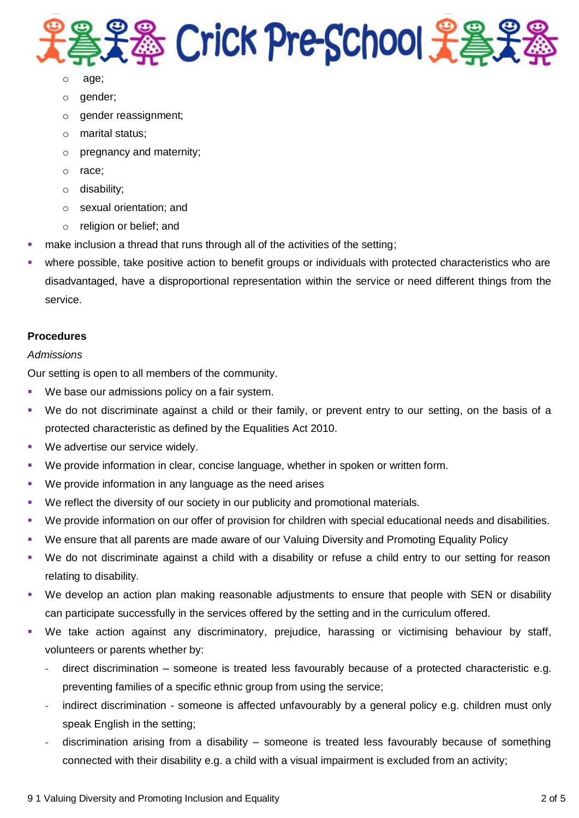

- age;
- o gender;
- o gender reassignment;
- o marital status;
- o pregnancy and maternity;
- o race;
- o disability;
- o sexual orientation; and
- o religion or belief; and
- make inclusion a thread that runs through all of the activities of the setting;
- where possible, take positive action to benefit groups or individuals with protected characteristics who are disadvantaged, have a disproportional representation within the service or need different things from the service.

#### **Procedures**

#### *Admissions*

Our setting is open to all members of the community.

- We base our admissions policy on a fair system.
- We do not discriminate against a child or their family, or prevent entry to our setting, on the basis of a protected characteristic as defined by the Equalities Act 2010.
- We advertise our service widely.
- We provide information in clear, concise language, whether in spoken or written form.
- We provide information in any language as the need arises
- We reflect the diversity of our society in our publicity and promotional materials.
- We provide information on our offer of provision for children with special educational needs and disabilities.
- We ensure that all parents are made aware of our Valuing Diversity and Promoting Equality Policy
- We do not discriminate against a child with a disability or refuse a child entry to our setting for reason relating to disability.
- We develop an action plan making reasonable adjustments to ensure that people with SEN or disability can participate successfully in the services offered by the setting and in the curriculum offered.
- We take action against any discriminatory, prejudice, harassing or victimising behaviour by staff, volunteers or parents whether by:
	- **-** direct discrimination someone is treated less favourably because of a protected characteristic e.g. preventing families of a specific ethnic group from using the service;
	- indirect discrimination someone is affected unfavourably by a general policy e.g. children must only speak English in the setting;
	- **-** discrimination arising from a disability someone is treated less favourably because of something connected with their disability e.g. a child with a visual impairment is excluded from an activity;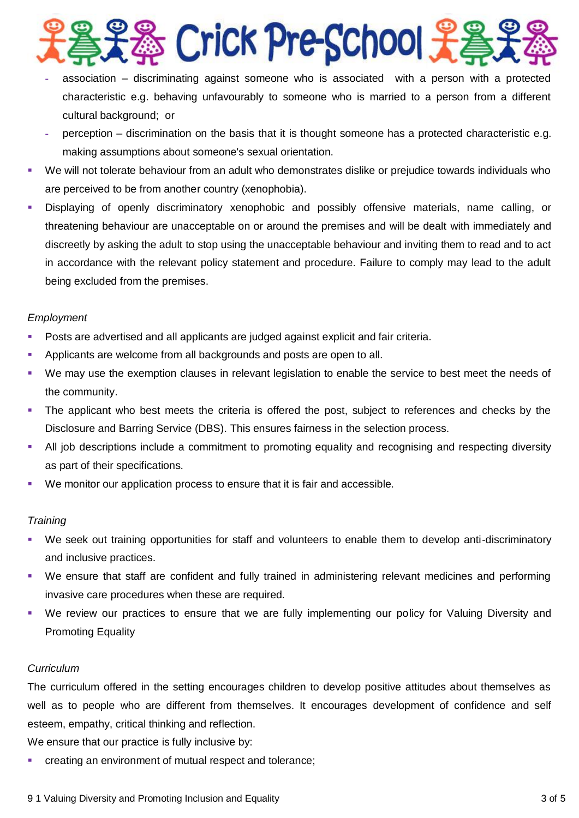

- **-** association discriminating against someone who is associated with a person with a protected characteristic e.g. behaving unfavourably to someone who is married to a person from a different cultural background; or
- **-** perception discrimination on the basis that it is thought someone has a protected characteristic e.g. making assumptions about someone's sexual orientation.
- We will not tolerate behaviour from an adult who demonstrates dislike or prejudice towards individuals who are perceived to be from another country (xenophobia).
- Displaying of openly discriminatory xenophobic and possibly offensive materials, name calling, or threatening behaviour are unacceptable on or around the premises and will be dealt with immediately and discreetly by asking the adult to stop using the unacceptable behaviour and inviting them to read and to act in accordance with the relevant policy statement and procedure. Failure to comply may lead to the adult being excluded from the premises.

## *Employment*

- Posts are advertised and all applicants are judged against explicit and fair criteria.
- Applicants are welcome from all backgrounds and posts are open to all.
- We may use the exemption clauses in relevant legislation to enable the service to best meet the needs of the community.
- The applicant who best meets the criteria is offered the post, subject to references and checks by the Disclosure and Barring Service (DBS). This ensures fairness in the selection process.
- All job descriptions include a commitment to promoting equality and recognising and respecting diversity as part of their specifications.
- We monitor our application process to ensure that it is fair and accessible.

## *Training*

- We seek out training opportunities for staff and volunteers to enable them to develop anti-discriminatory and inclusive practices.
- We ensure that staff are confident and fully trained in administering relevant medicines and performing invasive care procedures when these are required.
- We review our practices to ensure that we are fully implementing our policy for Valuing Diversity and Promoting Equality

## *Curriculum*

The curriculum offered in the setting encourages children to develop positive attitudes about themselves as well as to people who are different from themselves. It encourages development of confidence and self esteem, empathy, critical thinking and reflection.

We ensure that our practice is fully inclusive by:

creating an environment of mutual respect and tolerance;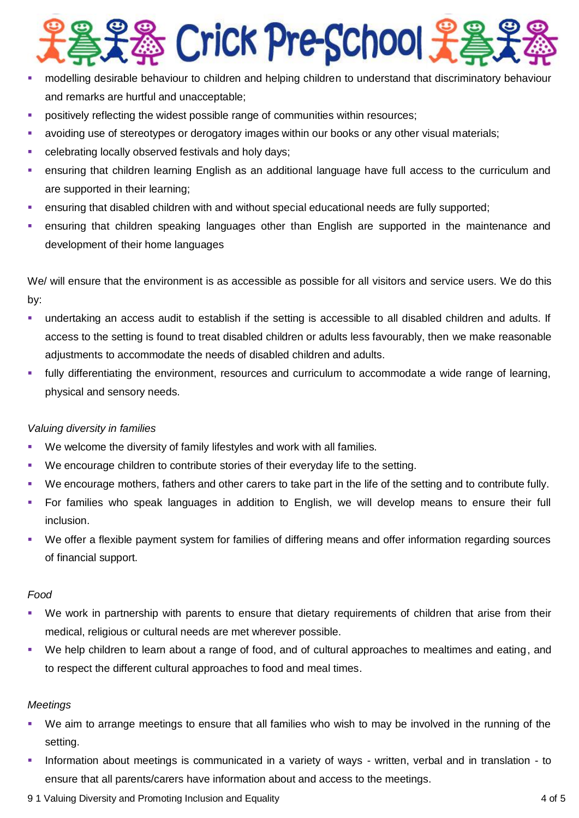

- modelling desirable behaviour to children and helping children to understand that discriminatory behaviour and remarks are hurtful and unacceptable;
- positively reflecting the widest possible range of communities within resources;
- avoiding use of stereotypes or derogatory images within our books or any other visual materials;
- **EXEC** celebrating locally observed festivals and holy days;
- ensuring that children learning English as an additional language have full access to the curriculum and are supported in their learning;
- ensuring that disabled children with and without special educational needs are fully supported;
- ensuring that children speaking languages other than English are supported in the maintenance and development of their home languages

We/ will ensure that the environment is as accessible as possible for all visitors and service users. We do this by:

- undertaking an access audit to establish if the setting is accessible to all disabled children and adults. If access to the setting is found to treat disabled children or adults less favourably, then we make reasonable adjustments to accommodate the needs of disabled children and adults.
- fully differentiating the environment, resources and curriculum to accommodate a wide range of learning, physical and sensory needs.

## *Valuing diversity in families*

- We welcome the diversity of family lifestyles and work with all families.
- We encourage children to contribute stories of their everyday life to the setting.
- We encourage mothers, fathers and other carers to take part in the life of the setting and to contribute fully.
- For families who speak languages in addition to English, we will develop means to ensure their full inclusion.
- We offer a flexible payment system for families of differing means and offer information regarding sources of financial support.

## *Food*

- We work in partnership with parents to ensure that dietary requirements of children that arise from their medical, religious or cultural needs are met wherever possible.
- We help children to learn about a range of food, and of cultural approaches to mealtimes and eating, and to respect the different cultural approaches to food and meal times.

## *Meetings*

- We aim to arrange meetings to ensure that all families who wish to may be involved in the running of the setting.
- Information about meetings is communicated in a variety of ways written, verbal and in translation to ensure that all parents/carers have information about and access to the meetings.
- 9 1 Valuing Diversity and Promoting Inclusion and Equality 4 of 5